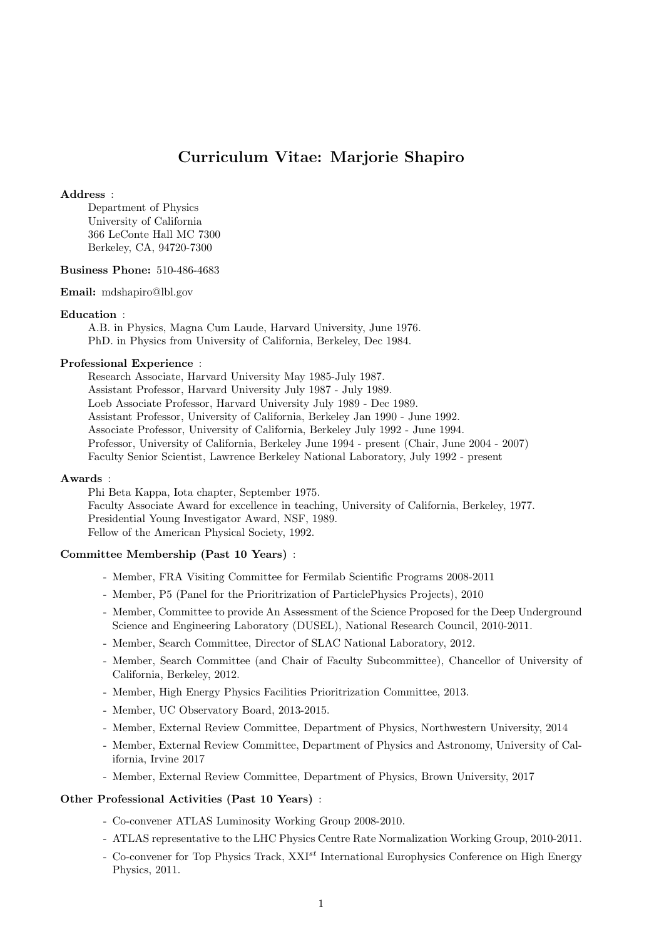# Curriculum Vitae: Marjorie Shapiro

#### Address :

Department of Physics University of California 366 LeConte Hall MC 7300 Berkeley, CA, 94720-7300

#### Business Phone: 510-486-4683

Email: mdshapiro@lbl.gov

## Education :

A.B. in Physics, Magna Cum Laude, Harvard University, June 1976. PhD. in Physics from University of California, Berkeley, Dec 1984.

#### Professional Experience :

Research Associate, Harvard University May 1985-July 1987. Assistant Professor, Harvard University July 1987 - July 1989. Loeb Associate Professor, Harvard University July 1989 - Dec 1989. Assistant Professor, University of California, Berkeley Jan 1990 - June 1992. Associate Professor, University of California, Berkeley July 1992 - June 1994. Professor, University of California, Berkeley June 1994 - present (Chair, June 2004 - 2007) Faculty Senior Scientist, Lawrence Berkeley National Laboratory, July 1992 - present

#### Awards :

Phi Beta Kappa, Iota chapter, September 1975. Faculty Associate Award for excellence in teaching, University of California, Berkeley, 1977. Presidential Young Investigator Award, NSF, 1989. Fellow of the American Physical Society, 1992.

## Committee Membership (Past 10 Years) :

- Member, FRA Visiting Committee for Fermilab Scientific Programs 2008-2011
- Member, P5 (Panel for the Prioritrization of ParticlePhysics Projects), 2010
- Member, Committee to provide An Assessment of the Science Proposed for the Deep Underground Science and Engineering Laboratory (DUSEL), National Research Council, 2010-2011.
- Member, Search Committee, Director of SLAC National Laboratory, 2012.
- Member, Search Committee (and Chair of Faculty Subcommittee), Chancellor of University of California, Berkeley, 2012.
- Member, High Energy Physics Facilities Prioritrization Committee, 2013.
- Member, UC Observatory Board, 2013-2015.
- Member, External Review Committee, Department of Physics, Northwestern University, 2014
- Member, External Review Committee, Department of Physics and Astronomy, University of California, Irvine 2017
- Member, External Review Committee, Department of Physics, Brown University, 2017

## Other Professional Activities (Past 10 Years) :

- Co-convener ATLAS Luminosity Working Group 2008-2010.
- ATLAS representative to the LHC Physics Centre Rate Normalization Working Group, 2010-2011.
- Co-convener for Top Physics Track,  $XXI^{st}$  International Europhysics Conference on High Energy Physics, 2011.